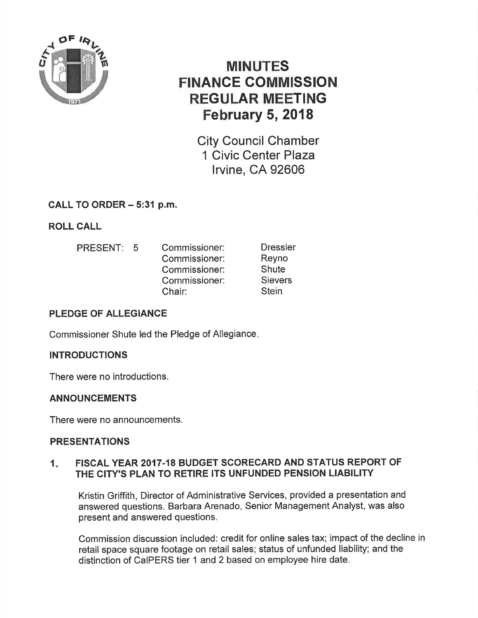

# MINUTES FINANGE COMMISSION REGULAR MEETING February 5, 2018

City Council Chamber 1 Civic Center Plaza lrvine, CA 92606

## CALL TO ORDER - 5:31 p.m.

ROLL CALL

PRESENT: 5 Commissioner: Commissioner: Commissioner: Commissioner: Chair: **Dressler** Reyno **Shute Sievers Stein** 

## PLEDGE OF ALLEGIANCE

Commissioner Shute led the Pledge of Allegiance

## INTRODUCTIONS

There were no introductions.

## ANNOUNCEMENTS

There were no announcements.

## PRESENTATIONS

## 1. FISCAL YEAR 2017-18 BUDGET SCORECARD AND STATUS REPORT OF THE CITY'S PLAN TO RETIRE ITS UNFUNDED PENSION LIABILITY

Kristin Griffith, Director of Administrative Services, provided a presentation and answered questions. Barbara Arenado, Senior Management Analyst, was also present and answered questions.

Commission discussion included: credit for online sales tax; impact of the decline in retail space square footage on retail sales; status of unfunded liability; and the distinction of CaIPERS tier 1 and 2 based on employee hire date.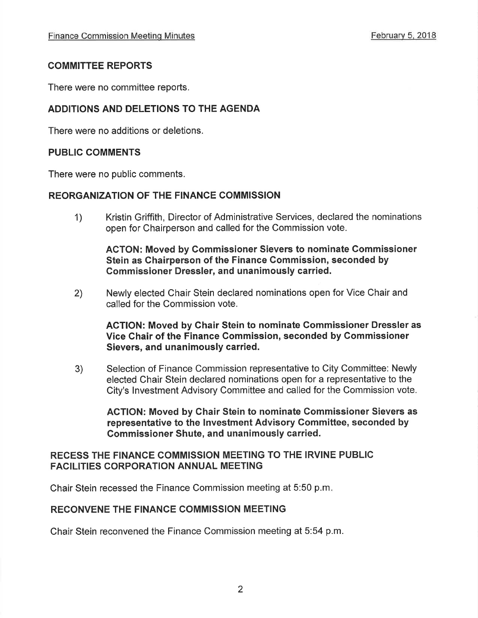## COMMITTEE REPORTS

There were no committee reports.

## ADDITIONS AND DELETIONS TO THE AGENDA

There were no additions or deletions.

## PUBLIC COMMENTS

There were no public comments.

## **REORGANIZATION OF THE FINANCE COMMISSION**

1) Kristin Griffith, Director of Administrative Services, declared the nominations open for Chairperson and called for the Commission vote.

ACTON: Moved by Gommissioner Sievers to nominate Commissioner Stein as Chairperson of the Finance Commission, seconded by Commissioner Dressler, and unanimously carried.

2) Newly elected Chair Stein declared nominations open for Vice Chair and called for the Commission vote.

AGTION: Moved by Ghair Stein to nominate Commissioner Dressler as Vice Ghair of the Finance Commission, seconded by Commissioner Sievers, and unanimously carried.

3) Selection of Finance Commission representative to City Committee: Newly elected Chair Stein declared nominations open for a representative to the City's lnvestment Advisory Committee and called for the Commission vote.

ACTION: Moved by Chair Stein to nominate Gommissioner Sievers as representative to the lnvestment Advisory Committee, seconded by Gommissioner Shute, and unanimously carried.

## RECESS THE FINANCE COMMISSION MEETING TO THE IRVINE PUBLIC FACILITIES CORPORATION ANNUAL MEETING

Chair Stein recessed the Finance Commission meeting at 5:50 p.m

## RECONVENE THE FINANCE COMMISSION MEETING

Chair Stein reconvened the Finance Commission meeting at 5:54 p.m.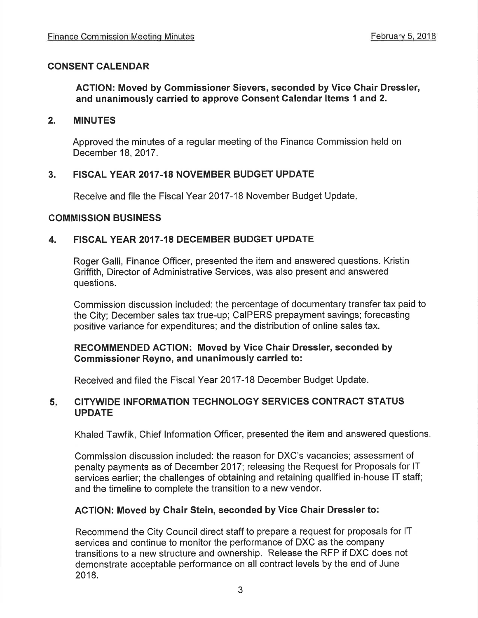## CONSENT CALENDAR

## ACTION: Moved by Commissioner Sievers, seconded by Vice Chair Dressler, and unanimously carried to approve Consent Calendar ltems 1 and 2.

#### 2. MINUTES

Approved the minutes of a regular meeting of the Finance Commission held on December 18,2017.

## 3. FISCAL YEAR 2017.18 NOVEMBER BUDGET UPDATE

Receive and file the Fiscal Year 2017-18 November Budget Update

#### COMMISSION BUSINESS

## 4. FISGAL YEAR 2017.18 DECEMBER BUDGET UPDATE

Roger Galli, Finance Officer, presented the item and answered questions. Kristin Griffith, Director of Administrative Services, was also present and answered questions.

Commission discussion included: the percentage of documentary transfer tax paid to the City; December sales tax true-up; CaIPERS prepayment savings; forecasting positive variance for expenditures; and the distribution of online sales tax.

#### RECOMMENDED AGTION: Moved by Vice Chair Dressler, seconded by Commissioner Reyno, and unanimously carried to:

Received and filed the Fiscal Year 2017-18 December Budget Update

#### CITYWIDE INFORMATION TECHNOLOGY SERVICES CONTRACT STATUS UPDATE 5

Khaled Tawfik, Chief lnformation Officer, presented the item and answered questions.

Commission discussion included: the reason for DXC's vacancies; assessment of penalty payments as of December 2017; releasing the Request for Proposals for lT services earlier; the challenges of obtaining and retaining qualified in-house lT staff; and the timeline to complete the transition to a new vendor.

#### AGTION: Moved by Ghair Stein, seconded by Vice Ghair Dressler to:

Recommend the City Council direct staff to prepare a request for proposals for lT services and continue to monitor the performance of DXC as the company transitions to a new structure and ownership, Release the RFP if DXC does not demonstrate acceptable performance on all contract levels by the end of June 2018.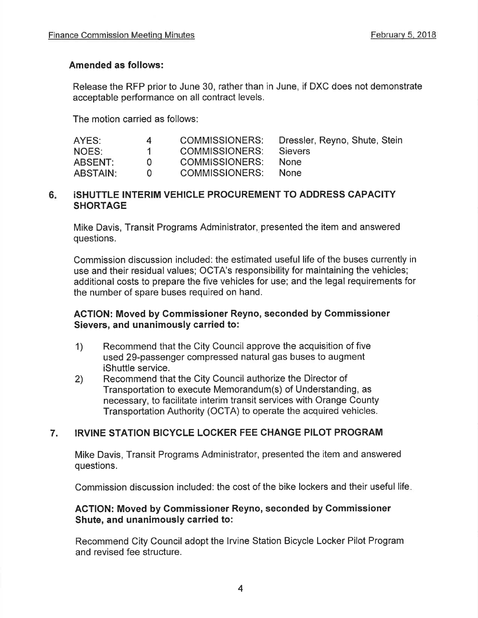## Amended as follows:

Release the RFP prior to June 30, rather than in June, if DXC does not demonstrate acceptable performance on all contract levels.

The motion carried as follows

| AYES:           | 4   | COMMISSIONERS:      | Dressler, Reyno, Shute, Stein |
|-----------------|-----|---------------------|-------------------------------|
| NOES:           |     | COMMISSIONERS:      | Sievers                       |
| ABSENT:         | -0- | COMMISSIONERS: None |                               |
| <b>ABSTAIN:</b> | -61 | COMMISSIONERS: None |                               |

## 6. ISHUTTLE INTERIM VEHICLE PROCUREMENT TO ADDRESS CAPACITY **SHORTAGE**

Mike Davis, Transit Programs Administrator, presented the item and answered questions.

Commission discussion included: the estimated useful life of the buses currently in use and their residual values; OCTA's responsibility for maintaining the vehicles; additional costs to prepare the five vehicles for use; and the legal requirements for the number of spare buses required on hand.

## AGTION: Moved by Gommissioner Reyno, seconded by Commissioner Sievers, and unanimously carried to:

- 1) Recommend that the City Council approve the acquisition of five used 29-passenger compressed natural gas buses to augment iShuttle service.
- Recommend that the City Council authorize the Director of Transportation to execute Memorandum(s) of Understanding, as necessary, to facilitate interim transit services with Orange County Transportation Authority (OCTA) to operate the acquired vehicles. 2)

## 7. IRVINE STATION BICYCLE LOCKER FEE CHANGE PILOT PROGRAM

Mike Davis, Transit Programs Administrator, presented the item and answered questions.

Commission discussion included: the cost of the bike lockers and their useful life

## AGTION: Moved by Commissioner Reyno, seconded by Commissioner Shute, and unanimously carried to:

Recommend City Council adopt the lrvine Station Bicycle Locker Pilot Program and revised fee structure.